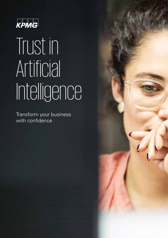

# Trust in Artificial Intelligence

Transform your business with confidence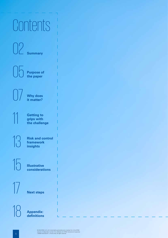## **Contents**

02 **Summary**

**Purpose of the paper**

07 **Why does it matter?**

**11 Getting to**<br>**grips with**<br>the challen **grips with the challenge**

**Risk and control framework insights**

15 **Illustrative considerations**

**Next steps** 

18 **Appendix: definitions**

© 2018 KPMG LLP, a UK limited liability partnership and a member firm of the KPMG<br>network of independent member firms affiliated with KPMG International Cooperative<br>("KPMG International"), a Swiss entity. All rights reserv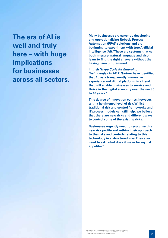**The era of AI is well and truly here – with huge implications for businesses across all sectors.** **Many businesses are currently developing and operationalising Robotic Process Automation (RPA)<sup>1</sup> solutions and are beginning to experiment with true Artificial Intelligence (AI). <sup>2</sup>These are systems that can both interpret natural language and also learn to find the right answers without them having been programmed.** 

**In their '***Hype Cycle for Emerging Technologies in 2017'* **Gartner have identified that AI, as a transparently immersive experience and digital platform, is a trend that will enable businesses to survive and thrive in the digital economy over the next 5 to 10 years. 3**

**This degree of innovation comes, however, with a heightened level of risk. Whilst traditional risk and control frameworks and IT process models can still help, we believe that there are new risks and different ways to control some of the existing risks.** 

**Businesses urgently need to recognise this new risk profile and rethink their approach to the risks and controls relating to this technology in a structured way. They also need to ask 'what does it mean for my risk appetite?'<sup>4</sup>**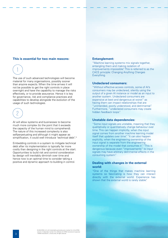### **This is essential for two main reasons:**



The use of such advanced technologies will become material for many organisations, possibly sooner than anyone expects. When the time arrives it will not be possible to get the right controls in place overnight and have the capability to manage the risks effectively, or to provide assurance. Hence it is key for governance, risk and compliance practices and capabilities to develop alongside the evolution of the usage of such technologies.



AI will allow systems and businesses to become much more complex (to the point that it exceeds the capacity of the human mind to comprehend). The nature of this increased complexity is also selfperpetuating and although it might appear as simplification, it could well introduce 'technical debt'. 5

Embedding controls in a system to mitigate technical debt after its implementation is typically far more costly than designing in the right controls at the start. Opportunities to build risk and control consideration by design will inevitably diminish over time and hence now is an optimal time to consider taking a positive and dynamic approach to building in control.

### **Entanglement:**

"Machine learning systems mix signals together, entangling them and making isolation of improvements impossible". This is referred to as the CACE principle: Changing Anything Changes Everything.

### **Undeclared consumers:**

"Without effective access controls, some of AI's consumers may be undeclared, silently using the output of a given AI instance or model as an input to another system. Undeclared consumers are expensive at best and dangerous at worst" as having them can impact relationships that are "unintended, poorly understood, and detrimental". Furthermore, "undeclared consumers may create hidden feedback loops".

### **Unstable data dependencies:**

"Some input signals are unstable, meaning that they qualitatively or quantitatively change behaviour over time. This can happen implicitly, when the input signal comes from another machine learning model itself that updates over time". "It can also happen explicitly, when the engineering ownership of the input signal is separate from the engineering ownership of the model that consumes it". "This is dangerous because even "improvements" to input signals may have arbitrary detrimental effects in the consuming system".

### **Dealing with changes in the external world:**

"One of the things that makes machine learning systems so fascinating is how they can interact directly with the external world. Experience has shown that the external world is rarely stable".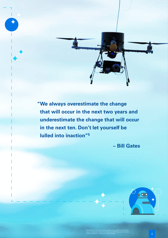**" We always overestimate the change that will occur in the next two years and underestimate the change that will occur in the next ten. Don't let yourself be lulled into inaction"<sup>5</sup>**

**– Bill Gates**



© 2018 KPMG LLP, a UK limited liability partnership and a member firm of the KPMG network of independent member firms affiliated with KPMG International Cooperative ("KPMG International"), a Swiss entity. All rights reserved.  $4$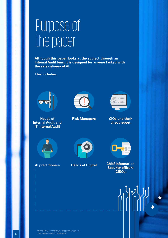### Purpose of the paper

**Although this paper looks at the subject through an Internal Audit lens, it is designed for anyone tasked with the safe delivery of AI.** 

**This includes:**



**Heads of Internal Audit and IT Internal Audit**



**Risk Managers CIOs and their** 



**direct report**







**AI practitioners Heads of Digital Chief Information Security officers (CISOs)**



e 2018 KPMG LLP, a UK limited itability partnership and a member firm of the KPMG<br>network of independent member firms affiliated with KPMG International Cooperative<br>("KPMG International"), a Swiss entity. All rights reserv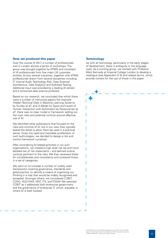### **How we produced this paper**

Over the course of 2017, a number of professionals met in London across a series of workshops. The group was brought together by KPMG and consisted of IA professionals from five major UK corporate entities, across several industries, together with KPMG professionals drawn from several disciplines including IT Internal Audit, Technology Risk, Data Science/ Architecture, Data Analytics and Software Testing. Additional input was provided by a leading AI vendor and a renowned data science professor.

Based on our research, we concluded that whilst there were a number of instructive papers (for example *Hidden Technical Debt in Machine Learning Systems* by Sculley et al<sup>5</sup> , and *A Model for Types and Levels of Human Interaction with Automation* by Parasuraman et al<sup>6</sup>, there was no clear model or framework setting out the main risks and potential controls around effective use of AI.

We identified other publications that focused on the risks and controls of AI, but in our view they typically lacked the detail to allow them be used in a practical sense. Given the rapid and inevitable proliferation of such technologies, we decided to design a risk and control framework ourselves.

After considering AI-related activities in our own organisations, we created a high level risk list and more detailed set of risk statements – and defined outline controls pertinent to the risks. We then reviewed these for completeness and consistency and clustered these in a set of categories.

We went on to consider a number of widely used frameworks covering governance, standards and good practice, to identify a means of organising our thinking in a way that would be widely recognised and accepted. Amongst others, we considered COBIT, COSO, ISO27XXX, NIST, ITIL and TOGAF. We selected COBIT as it addresses both enterprise government and the governance of enterprise IT, which, arguably, is where AI is best located.

### **Terminology**

As with all technology, particularly in the early stages of development, there is ambiguity in the language used. As a working group, we worked with Professor Mark Kennedy at Imperial College London to develop a catalogue (see Appendix) of AI and related terms, which provide context for the use of those in this paper.

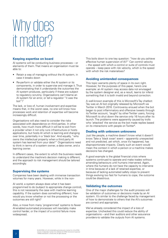### Why does it matter?

### **Keeping expertise on board**

AI systems will be conducting business processes – or elements of them. That means an organisation must be able to:

- Retain a way of managing without the AI system, in case it breaks down
- Re-perform or validate either the AI system or its components, in order to supervise and manage it. Thus demonstrating that it understands the outcomes the AI system produces, particularly if these are subject to regulatory scrutiny. Organisations can't blame an AI system for an error, or tell a regulator "it was the bot"!7

The lack, or loss of, human involvement and expertise means that, in the worst case, no one will know how processes work and retention of expertise will become increasingly difficult.

Organisations will also need to consider the risks associated with dependence on third parties. In other words, how much more difficult it will be to exit from a provider when it not only runs infrastructure or hosts applications, but hosts AI which is learning and changing over time, potentially in a 'black box'. And equally, "who owns the intellectual property when a third party AI system has learned from your data?" Organisations need to think in terms of a system owner, a data owner, and a learning owner.

In different cases, the extent to which the business needs to understand the machine's decision making is different, and the approach to risk management should be tailored accordingly.

### **Supervising the systems**

Companies have been dealing with immense transaction volumes for many years. However, while in the non-

AI world, a system always does what it has been programmed to do (subject to appropriate change control) this is not necessarily the case with machine learning capability. If the system does something different, how would you know whether or not the processing or the outcomes are still right?

Also, a move from many 'programmed' systems to fewer AI-enabled automated processes will inevitably make control harder, or the impact of a control failure more widespread.

This boils down to one key question: "how do you achieve effective human supervision of AI?" Can control velocity – the speed with which a control or suite of controls must operate – keep pace with risk velocity, which is the speed with which the risk materialises?

### **Avoiding unintended consequences**

This topic warrants plenty of space in its own right. However, for the purposes of this paper, here's one example: an AI system may access data not envisaged by the system designer and, as a result, learns (or infers) something that it is both invalid and beyond correction.

A well-known example of this is Microsoft's Tay chatbot: Tay was an AI bot originally released by Microsoft via Twitter in March 2016. Controversy ensued when the bot began to post inflammatory and offensive tweets through its Twitter account, 'taught' by other Twitter users, forcing Microsoft to shut down the service only 16 hours after its launch. The problems were apparently caused by trolls who 'attacked' the service as the bot made replies based on its interactions with people on Twitter<sup>8</sup>.

### **Dealing with unknown unknowns**

Just like people, a machine doesn't know what it doesn't know. Take a 'black swan' event – apparently unexpected and not predicted, yet which, once it's happened, has disproportionate impacts. Clearly such an event would mean the context in which a person or a machine makes decisions has changed.

A good example is the global financial crisis where systems continued to operate and make trades without amending behaviours until humans intervened. Again, where the humans do not have the capacity to intervene in time because of a lack of retained expertise, or because of lacking automated safety stops to prevent things evolving too fast for humans to cope, the outcome could be disastrous.

### , **Validating the outcomes**

One of the major challenges for the audit process will be validation of outcomes or decisions made by an AI system. It's similar to the challenge faced by management of how to demonstrate to others that the AI's outcomes are correct and appropriate.

We've already considered the impact of a loss of expertise. Unchecked this could reduce the ability of organisations – and their auditors and other assurance providers-to validate the outputs from AI systems.

© 2018 KPMG LLP, a UK limited liability partnership and a member firm of the KPMG mber firms affiliated with KPMG Interna ("KPMG International"), a Swiss entity. All rights reserved.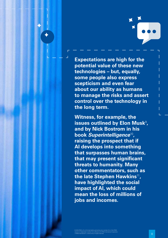

**Expectations are high for the potential value of these new technologies – but, equally, some people also express scepticism and even fear about our ability as humans to manage the risks and assert control over the technology in the long term.**

**Witness, for example, the**  issues outlined by Elon Musk<sup>9</sup>, **and by Nick Bostrom in his book** *Superintelligence*<sup>10</sup>**, raising the prospect that if AI develops into something that surpasses human brains, that may present significant threats to humanity. Many other commentators, such as the late Stephen Hawkins**<sup>11</sup>**, have highlighted the social impact of AI, which could mean the loss of millions of jobs and incomes.**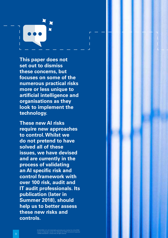**This paper does not set out to dismiss these concerns, but focuses on some of the numerous practical risks more or less unique to artificial intelligence and organisations as they look to implement the technology.**

**These new AI risks require new approaches to control. Whilst we do not pretend to have solved all of these issues, we have devised and are currently in the process of validating an AI specific risk and control framework with over 100 risk, audit and IT audit professionals. Its publication (later in Summer 2018), should help us to better assess these new risks and controls.**

© 2018 KPMG LLP, a UK limited liability partnership and a member firm of the KPMG network of independent member firms affiliated with KPMG International Cooperative ("KPMG International"), a Swiss entity. All rights reserved.<br>On the served of the served of the served of the served of the served of the s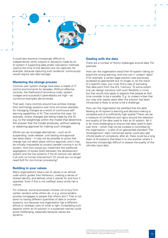

It could also become increasingly difficult to independently verify outputs or decisions made by an AI system if supporting data and/or calculation methods used at the time of the decision are not captured: for example, because capturing such 'evidence' continuously would require vast data storage.

### **Mastering the change process**

Controls over system change have been a staple of IT control environments for decades. Without effective controls, the likelihood of erroneous code, system outages and successful cyber-attacks are high – as numerous examples demonstrate.

That said, many controls around how entities change their technology systems over time will prove obsolete for managing changes as a result of continuous selflearning capabilities of AI. That would be the case, for example, where changes are being made by the AI, e.g. to the weightings within the model that determine the answer that the model produces, without seeking or obtaining approval for making such changes.

Whilst we can envisage alternatives – such as AI suspending 'code release' until testing and approval has taken place – it may not be possible to prove that change has not taken place without approval, and it may be virtually impossible to conduct parallel running in an AI system. And how would you implement the traditional segregation of duties (SoD) between the development system and the live systems if the AI solution can deliver it all with no human intervention? Or would you no longer need SoD for non-human processing?

### **Building in your values**

Many organisations have a set of values or an ethical code which guides their behaviour, creating a sense of shared identity, and defines what it stands for and how it operates. Even if this is not codified, every entity has a culture.

For instance, some businesses choose not to buy from certain vendors while others do, or e.g. some lenders provide mortgages to people that others don't. That is not down to having different quantities of data or smarter systems, but because one organisation has a different ethical or strategic view of what is right. Embedding such aspects within an AI solution in a sustained manner could prove challenging, especially because values are dynamic.

### **Dealing with the data**

There are a number of thorny challenges around data. For example:

How can the organisation avoid their AI system taking on board the wrong learning, and how can it 'unlearn' data? If for example, a certain legal position was previously accepted as appropriate but no longer is, as the result of a specific case, you must find a way of excluding that data point from the AI's 'memory'. To some extent one can design solutions with such flexibility in mind, but that would only apply to aspects that people at that time consider to be a variable. E.g. to unlearn a bias that you may only realise years after the solution has been introduced is likely to prove to be a challenge.

How can the organisation be satisfied that the data feeding an AI system's learning and decision-making is complete and of a sufficiently high quality? There can be a measure of confidence and rigour around the selection and quality of the data used to train an AI system. Yet it is far more challenging to ensure that data used to learn over time – which may not be curated or controlled by the organisation – is also of an appropriate standard. The 'entanglement' topic mentioned earlier could also add infinite levels of complexity, after all, there could be a long chain of AI systems that feed in to one another where it becomes increasingly difficult to assess the quality of the ultimate input data.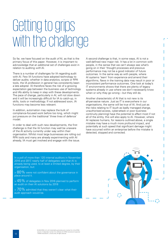### Getting to grips with the challenge

So far, we have focused on the audit *of* AI, as that is the primary focus of this paper. However, it is important to acknowledge that an additional set of challenges exist in relation to auditing *with* AI.

There is a number of challenges for IA regarding audit with AI. Few IA functions have adopted technology to deliver audits; whether in data analytics, scripts or RPA tools, the IA profession in general has consistently been a late adopter. IA therefore faces the risk of a growing expectation gap between the business use of technology and IA's ability to keep in step with these developments. The pace of change, particularly in AI, will not slow down and it will be increasingly difficult for IA to catch-up, in skills, tools or methodology. If not addressed soon, IA functions may become less relevant.

In addition, automation may replace the bulk of compliance-focused work before too long, which might put pressure on the traditional 'three lines of defence' model.

In order to deal with such new developments, the first challenge is that the IA function may well be unaware of the AI activity currently under way within their organisation. Whilst most large businesses are rolling out RPA tools and many are already experimenting with AI already, IA must get involved and engage with the issue.

In a poll of more than 120 internal auditors in November 2016 and 2017, nearly half of delegates said that AI is already being used, to at least a limited degree, by their organisation, but:

 $>$   $80\%$  were not confident about the governance in . place around it.

 $>$   $45\%$  of delegates in Nov 2016 planned to perform an audit on their AI solutions by 2018

 $> 70\%$  admitted that they weren't clear what their audit approach would be.

A second challenge is that, in some ways, AI is not a well-defined new major risk. It has a lot in common with people, in the sense that we can't always see what's going on in their 'thought processes and previous performance may not be a good indicator of future outcomes. In the same way as with people, where AI systems 'learn' from experience and amend their algorithms, flaws in the training data may result in poor or inconsistent performance outcomes. One look at today's IT environments shows that there are plenty of legacy systems already in use where we don't necessarily know when or why they go wrong – but they still do.

Another characteristic of AI that is not new is its all-pervasive nature. Just as IT is everywhere in our organisations, the same will be true of AI. And just as the risks relating to IT (such as badly managed change, unauthorised access, cyber-attack or poor business continuity planning) have the potential to affect most if not all of the entity, this will also apply to AI. However, where AI replaces humans, for reasons outlined above, a single mistake may have a much more profound impact, and potentially at such speed that significant damage might have occurred within an enterprise before the mistake is detected, stopped and corrected.

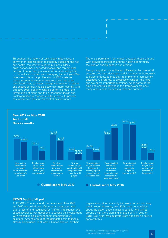Throughout the history of technology in business, a common thread has been technology outpacing the risk and control requirements of the business. Many organisations have suffered financial and reputational damage through being unaware of, or responding late to, the risks associated with emerging technologies. We have seen this in the proliferation of ERP systems where security and control features often had to be retrofitted – say, to better manage segregation of duties and access control. We also saw this more recently with effective cyber security controls or, for example, the introduction of cloud and the subsequent design and implementation of 'service auditor reports' to provide assurance over outsourced control environments.

There is a permanent 'arms race' between those charged with providing protection and the hacking community focused on finding gaps in our 'armour'.

Recognising that this will be no different in the case of AI systems, we have developed a risk and control framework to guide entities, as they start to implement increasingly advanced AI systems, to proactively consider the risks and ask some important questions. While some of the risks and controls defined in this framework are new, many others build on existing risks and controls.



### **KPMG Audit of AI poll**

At KPMG's IT Internal Audit conferences in Nov 2016 and 2017, we polled over 120 internal auditors on their awareness of and readiness for Artificial Intelligence. We asked several survey questions to assess IA's involvement with managing risks around their organisation's AI solutions. Around a third of the delegates said that AI is already being used, to at least a limited degree, by their

organisation, albeit that only half were certain that they would know. However, over 80% were not confident about the governance in place around it. And whilst around a half were planning an audit of AI in 2017 or 2018, well over three quarters were not clear on how to approach this.

© 2018 KPMG LLP, a UK limited liability partnership and a member firm of the KPMG network of independent member firms affiliated with KPMG International Cooperative **12 minutes in the constructional Cooperative 12 minutes in the cooperative in the cooperative in the cooperative in the cooperative in the**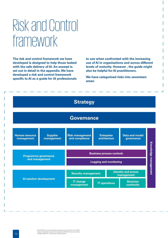### Risk and Control framework

**The risk and control framework we have developed is designed to help those tasked with the safe delivery of AI. An excerpt is set out in detail in the appendix. We have developed a risk and control framework specific to AI as a guide for IA professionals** 

**to use when confronted with the increasing use of AI in organisations and across different levels of maturity. However , the guide might also be helpful for AI practitioners.**

**We have categorised risks into seventeen areas:**

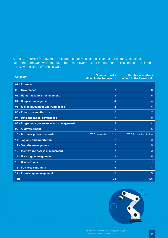AI Risk & Controls framework – 17 categories for managing risks and controls for AI solutions. Note: the framework will continue to be refined over time, so the number of risks and controls listed are likely to change of time as well.

| <b>Category</b>                          | <b>Number of risks</b><br>defined in the framework | <b>Number of controls</b><br>defined in the framework |
|------------------------------------------|----------------------------------------------------|-------------------------------------------------------|
| 01 - Strategy                            | 1                                                  | $\overline{2}$                                        |
| 02 - Governance                          | 7                                                  | 8                                                     |
| 03 - Human resource management           | $\overline{4}$                                     | 5                                                     |
| 04 - Supplier management                 | $\overline{4}$                                     | 4                                                     |
| 05 - Risk management and compliance      | $\overline{2}$                                     | 6                                                     |
| 06 - Enterprise architecture             | 6                                                  | 7                                                     |
| 07 - Data and model governance           | 7                                                  | 10                                                    |
| 08 - Programme governance and management | 3                                                  | $\overline{4}$                                        |
| 09 - Al development                      | 10                                                 | 16                                                    |
| 10 - Business process controls           | TBD for each solution                              | TBD for each solution                                 |
| 11 - Logging and monitoring              | $\overline{2}$                                     | 3                                                     |
| 12 - Security management                 | 5                                                  | 5                                                     |
| 13 - Identity and access management      | 7                                                  | 13                                                    |
| 14 - IT change management                | $\overline{4}$                                     | 5                                                     |
| 15 - IT operations                       | 7                                                  | 7                                                     |
| 16 - Business continuity                 | $6\phantom{1}$                                     | 8                                                     |
| 17 - Knowledge management                | 3                                                  | 3                                                     |
| <b>Total</b>                             | 78                                                 | 106                                                   |

 $\overline{\phantom{a}}$ 

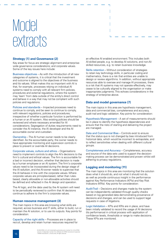### Model extracts

### **Strategy (1) and Governance (2)**

Key areas for focus are strategic alignment and enterprisewide governance considerations; and corporate values. Some of the key issues here include:

Business objectives – As with the introduction of all new categories of systems, it is critical that the investment and outcome is aligned to the objectives of the business and its values. What makes this so important with AI is that, for example, processes relying on individual AI systems need to comply with all relevant firm policies, procedures and external regulations, where the system may 'learn' from data outside of the entity's direct control and behave in a way that may not be compliant with such policies and regulations.

Policies and standards – Impacted processes need to continue to comply, and be seen to continue to comply, with relevant regulations, policies and procedures, irrespective of whether a particular function is performed by a human or an AI system. Also existing policies should be reviewed and where necessary amended for AI considerations. Segregation of duties requirements need to consider the AI instance, the AI developer and the AI accountable owner and custodian.

Ownership –The AI human owner needs to be clearly identified. As the accountable party, the owner needs to have appropriate monitoring and supervision controls in place to prevent or override AI decisions.

Corporate values, culture and ethics – Organisations need to implement controls to align the AI's decisions to the firm's cultural and ethical values. The firm is accountable for a bad or incorrect decision, whether that decision is made by a human employee or an AI system. The firm's corporate values need to be incorporated during the design stage of the AI solution, and the AI-owner needs to supervise that the AI behaves in line with the corporate values. Where corporate values are principles-based, rather than rulesbased, clearly allowable or non-allowable activities should be defined and reflected in the AI design and operation.

The AI logic, and the data used by the AI system will need to be periodically reviewed to confirm that AI decisions continue to adhere to the firm's corporate values.

### **Human resource management (3)**

The main topics in this area are knowing what skills are required, across business and IT skills, either to build, run or maintain the AI solution, or to use its outputs. Key points for consideration:

Capacity of the right skills – Processes are in place to recruit, develop and retain human resources required for an effective AI enabled environment. This includes both AI-skilled people, e.g. to develop AI solutions, and non-AIskilled resources, e.g. to retain business knowledge.

Skills retention – Without consideration of strategies to retain key technology skills, in particular coding and mathematics, there is a risk that entities are unable to design or review algorithms. In addition, without appropriate resources able to oversee and manage AI processes, there is a risk that AI systems may not operate effectively, may cease to be culturally aligned to the organisation or make inappropriate judgments.This echoes considerations in the strategy of enterprise above.

### **Data and model governance (7)**

The main topics in this area are hypothesis management, data and commercial bias, completeness and accuracy, audit trail and logic validation. Key points for consideration:

Hypothesis Management – A set of measurements should be in place to identify the hypothesis dependencies and ensure that the risks of starting and delivering the project are managed.

Data and Commercial Bias – Controls exist to ensure that the status quo is not changed by bias introduced from historical data, which would be incorrect to extrapolate, and to reflect sensitivities when dealing with different cultural groups.

Completeness and Accuracy – Completeness, accuracy and source of the data sets used to support the decisionmaking process can be demonstrated and proven whilst still adhering to privacy regulations.

### **Logging and monitoring (11)**

The main topics in this area are monitoring that the solution does what it should do, and not what it should not do, as well as provide continuous insight in the performance against Key Performance Indicators (KPIs) and Key Risk Indicators (KRIs). Key points for consideration:

Audit Trail – Decisions and changes made by the system can be independently validated through quality checks based on log generated data demonstrating provenance of decisions and changes, and can be used to support legal requests in case of litigations.

Logic Validation – KPIs and KRIs are in place, and have been initially validated to record the usage of AI decisions (its performance) in critical process with application of confidence levels, thresholds or range to make decisions. These KPIs are monitored.

© 2018 KPMG LLP, a UK limited liability partnership and a member firm of the KPMG mber firms affiliated with KPMG Intern ("KPMG International"), a Swiss entity. All rights reserved.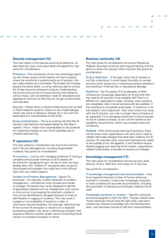### **Security management (12)**

The main topics in this area are securing AI platforms, its data (learning, input, and output data) and algorithms. Key points for consideration:

Protection –The introduction of any new technology opens up new threat vectors which hackers will look to exploit: where the workforce is predominantly an AI solution, this can make entities very vulnerable.The threats will increase beyond the direct attack, to using malicious data to corrupt the AI learning and subsequent outputs. Understanding the end to end controls to ensure security and resilience will be critical, with consideration made for standalone and separate AI solutions so that they do not get contaminated with bad data.

Security – Where there is shared infrastructure such as IaaS or PaaS hosted AI systems, there is a risk of data leakage which may result in behaviour change not in line with the expectations or culture/values of the entity.

**C**ross-contamination – This is an existing risk that the AI solution may become corrupted based on the data it ingests. This is made more unpredictable by the potential for unplanned changes to how the AI operates due to unsupervised learning.

### **IT operations (15)**

The main areas for consideration are around AI inventory and IT Service Management, including AI-generated incidents. Key points for consideration:

AI inventory – Just as with managing traditional IT, having a complete and accurate inventory of all AI assets will be critical for managing its risks. Similar to what we have already seen with 'shadow IT' caused by easy access to cloud based technologies, this might be a more difficult topic than one initially expects.

Incident and Problem Management – Typical ITIL processes – for example, incident detection or problem management – will likely be more complex and harder to manage. Processes may not be designed to identify AI-generated incidents such as misalignment with culture or minor errors in processing; by extension, problems may not be identified and managed because of a lack of identification or logging of incidents. This may result in outages or non-availability of systems or data, or information security breaches. For example, detecting that AI has turned off encryption in transit to fix a separate processing problem may result in identifying a problem that requires a different solution and/or result in amending the AI solution to reinstate encryption in transit.

### **Business continuity (16)**

Г

The main areas for consideration are around Resilience, Rollback, Business continuity planning and testing, and the ability to retrain the solution when required. Key points for consideration:

AI as a 'black box' – If the logic within the AI solution is not fully understood, it could impact the ability to recover services when issues occur, impacting business operations and resulting in financial loss or reputational damage.

Resilience – As the uptake of AI accelerates, entities will become increasingly dependent on AI and with that the need for AI solutions to be available 24/7. That is no different for organisations today; however, when systems are unavailable, often manual workarounds are available. If the workforce is completely automated - if resilience is not fully baked in and understood - then when there is an issue with the AI solution, you may no longer have a company at all, especially if it is managing critical end to end processes. As the AI uptake increases, so too will the resilience and availability requirements, which may increase costs and complexity.

Rollback – With continuously learning AI solutions, there will be times when organisations will want and or need to rollback self-made changes that have been made by the AI solution; for example when outcomes have become invalid or are outside of our risk appetite. It will therefore require detailed logging and reporting to be in place, supported by rollback functionality, to be able to reverse out changes.

### **Knowledge management (17)**

The main areas for consideration are around cost, skills, security, AI as a 'black box' and impact on IT services.

Key points for consideration:

IT knowledge management and documentation – Due to an expected reduced number of human resources involved in a process, it becomes increasingly important to have complete and accurate documentation, including documentation of decisions and changes made by the AI itself.

Knowledge handover to 'sustain' – Specific individuals should be assigned to fulfil the 'BAU' / Sustain related roles. These individuals should have the right skills, have been handed over relevant knowledge from the Development team, and have been trained to fulfil their responsibilities.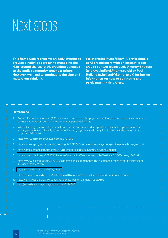### Next steps

**This framework represents an early attempt to provide a holistic approach to managing the risks around the use of AI, providing guidance to the audit community, amongst others. However, we need to continue to develop and mature our thinking.**

**We therefore invite fellow IA professionals or AI practitioners with an interest in this area to contact respectively Andrew Shefford (andrew.shefford@kpmg.co.uk) or Paul Holland (p.holland@kpmg.co.uk) for further information on how to contribute and participate in this project.**

### **References**

- Robotic Process Automation (RPA) does not mean human-like physical machines, but automated tools to enable business automation; see Appendix for our proposed definitions
- 2 Artificial Intelligence (AI) refers to systems that demonstrate certain specific capabilities, in particular around learning capabilities and ability to handle natural language in a similar way to a human; see Appendix for our proposed definitions
- 3 https://www.gartner.com/newsroom/id/3784363
- 4 https://home.kpmg.com/uk/en/home/insights/2017/01/internal-audit-staying-in-step-with-new-technologies.html
- 5 <https://pdfs.semanticscholar.org/1eb1/31a34fbb508a9dd8b646950c65901d6f1a5b.pdf>
- 6 https://www.ida.liu.se/~729A71/Literature/Automation/Parasuraman,%20Sheridan,%20Wickens\_2000.pdf
- 7 https://www.cio.com/article/3162239/leadership-management/banking-on-bots-the-move-towards-digital-laborinfinancial-services.html
- 8 [https://en.wikipedia.org/wiki/Tay\\_\(bot\)](https://en.wikipedia.org/wiki/Tay_(bot))
- 9 https://www.theguardian.com/technology/2017/sep/04/elon-musk-ai-third-world-war-vladimir-putin
- 10 https://en.wikipedia.org/wiki/Superintelligence:\_Paths,\_Dangers,\_Strategies
- 11 <http://www.bbc.co.uk/news/technology-30290540>

network of independent member firms affiliated with KPMG International Cooperative ("KPMG International"), a Swiss entity. All rights reserved.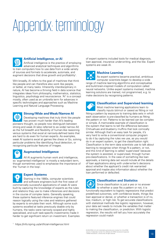## Appendix: terminology



### **Artificial Intelligence, or AI**

Artificial intelligence is the practice of employing advanced analytical techniques and algorithms to train computers how to use data from a wide variety of sources and formats to accelerate, automate, and augment decisions that drive growth and profitability<sup>1</sup>.

Writ broadly, AI refers to the goal of machines that think like people and can therefore also work like people, or better, at many tasks. Inherently interdisciplinary in nature, AI has become a thriving field in data science that integrates ideas from philosophy, mathematics, statistics, linguistics, psychology and neuroscience. 'AI' is a concept mostly, often used as an umbrella term for advances in specific technologies and approaches such as Machine Learning and Natural Language Processing.



### **Strong/Wide and Weak/Narrow AI**

Developing machines that truly think like people has proven much harder than AI's leading pioneers thought, so people now distinguish between strong and weak AI (also referred to as wide/ narrow AI) as the full breadth and flexibility of human-like reasoning versus systems that excel at narrowly-defined tasks that are hard to do even for human experts. As examples, weak AI systems excel at games like chess or Go, solving particular problems like identifying fraud detection, or recognizing particular features of images.



### **Augmented Intelligence**

All AI augments human work and intelligence, so 'augmented intelligence' is mostly a redundant term, though sometimes used to emphasise the importance of the 'human in the loop'.



### **Expert Systems**

Starting in the 1980s, computer scientists and software engineers built the first wave of commercially successful applications of weak AI were built by capturing the knowledge of experts as the rules and relations they use to make inferences and decisions in the course of complex tasks. Generally speaking, these systems featured inference engines that could reason logically using the rules and relations gathered by experts to emulate their work. Although some such systems excelled at tasks previously doable only by humans, the tasks were narrowly scoped and highly specialised, and such task-specific investments made it harder to get significant return on investment. Examples

1 https://info.kpmg.us/artificial-intelligence.html

of expert systems included tools for medical diagnosis, loan approval, insurance underwriting, and the like. Expert systems are weak AI.

### **Machine Learning**

As expert systems became practical, ambitious computer scientists began to develop a wide range of machine learning algorithms and conceptualise and build brain-inspired models of computation called neural networks. Unlike expert systems involved, machine learning solutions are trained, not programmed, e.g. to make decisions by recognising patterns.



### **Classification and Supervised learning**

Most machine learning applications learn to classify inputs (stimuli or cases) as fitting or not fitting a pattern by exposure to training data sets in which each observation is pre-classified by humans as fitting the pattern or not. Patterns to be learned can be complex or simple. A memorable example of classification is the system that learns to tell the difference between Chihuahuas and blueberry muffins that look comically similar. Although that's an easy task for people, it's very hard to write a conventional computer program to do it by capturing the rules we use, as you would do in an expert system, to get the classification right. Classification is the term data scientists use to talk about learning to recognise when things fit a pattern, or not, and this kind of learning is called 'supervised' because the system is assisted, or supervised, through human pre-classifications. In the case of something like loan approvals, a training data set would include all the details of loan applications along with underwriter's decisions about whether the applicant's credit risk warranted approval and maybe also information about whether the loan performed or defaulted.

### **Classification and Statistics**  $\blacksquare$ Since classification is just a yes or no answer to whether a case fits a pattern or not, it is functionally equivalent to logistic regressions that predict predefined outcomes, with confidence levels, things like loan approval or denial, or whether a transaction is of no, low, medium, or high risk. To get accurate classifications with statistical methods like logistic regression, however, your data set needs to include the variables that matter to making the classification, or prediction. With logistic regression, the results will tell you how accurately the

© 2018 KPMG LLP, a UK limited liability partnership and a member firm of the KPMG rk of independent member firms affiliated with KPMG Inte ("KPMG International"), a Swiss entity. All rights reserved.

regression could match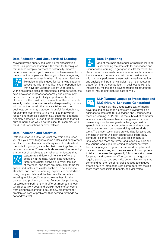### **Data Reduction and Unsupervised Learning**

Moving beyond supervised learning for classification tasks, unsupervised learning is the term for techniques that reduce complex datasets to potentially important patterns we may not yet know about or have names for. In the abstract, unsupervised learning involves recognising



non-randomness in what might otherwise look like noise, and it is good for identifying patterns associated with things like risks or opportunities that have not yet been widely understood.

Within this broad class of techniques, computer scientists have developed methods for anomaly and community detection to detect potentially important outliers or clusters. For the most part, the results of these methods are only useful once interpreted and explained by humans who know the domain the data are taken from. In business, community detection is useful for identifying, for example, customers with similarities that warrant recognising them as a distinct new customer segment. Anomaly detection is useful for detecting cases that fall outside norms, as would be the case, for example, with fraudulent transactions or cyber-attacks.

### **Data Reduction and Statistics**

Data reduction is a little like what the brain does when you blur your eyes to ignore some details and bring others into focus, it is also functionally equivalent to statistical methods for grouping variables that move together, or covary, across cases. These methods are useful for reducing a larger set of variables to a smaller set of factors that



capture truly different dimensions of what's going on in the data. Within data reduction, factor and cluster analysis are major families of methods, and there are many algorithms for

specialised factor and cluster analysis. In data science, statistics, and machine learning, experts are comfortable using many models, and the best results come from knowing which specific method works best for the data set and problem you have. For complex problems, researchers experiment with different methods to learn which ones work best, and breakthroughs often come from using this learning to devise new algorithms for problem or class of problems that existing methods do not address well.

### **Data Engineering**

One of the main challenges of machine learning is assembling the data sets for supervised and unsupervised learning. To get good results for tasks like classification or anomaly detection, one needs data sets that include all the variables that matter. Just as it is with humans performing these tasks, creative curation and analysis of inputs, or variables, is a major factor in outperforming the competition. In business tasks, this increasingly means going beyond traditional structured data to include unstructured data as well.



### **NLP (Natural Language Processing) and NLG (Natural Language Generation)**

Increasingly, the unstructured text of media coverage and social media posts are proving valuable additions to data sets for supervised and unsupervised machine learning. NLP / NLG is the subfield of computer science in which researchers and engineers focus on developing tools for using natural language (text or speech) both as a data source for tasks and as a user interface to or from computers doing various kinds of work. Thus, such techniques provide data for tasks and a means of communication about tasks. Historically, computer science mostly focused less on natural languages and more on formal languages like logic and the various languages for writing computer software. Formal languages are good for precise descriptions of data and procedures, and they are easier for computers to take in because they generally follow very strict rules for syntax and semantics. Whereas formal languages require people to read and write code in languages that come and go, the rise of natural language techniques offers a path to interacting with computers that makes them more accessible to people, and vice versa.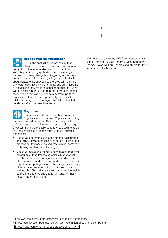### 疆

### **Robotic Process Automation**

RPA is the application of technology that allows employees in a company to configure computer software or a 'digital robot' to capture and interpret existing applications for processing a transaction, manipulating data, triggering responses and communicating with other digital systems. So this is about software (as opposed to the physical machines the word robot usually calls to mind) and administrative or service industry tasks as opposed to manufacturing work. Typically, RPA is used to refer to more advanced technologies that can be used to automate (parts of) processes where that was previously not possible, while still being coded/ configured and do not include 'intelligence' such as machine learning.

### **Cognitive**

Started as an IBM buzzword but the terms Cognitive automation and Cognitive computing have received wider usage. These terms appear less defined than e.g. machine learning or natural language processing and are typically used to group technologies at a less holistic level as the term AI does. Example definitions:

- Cognitive automation leverages different algorithms and technology approaches such as natural language processing, text analytics and data mining, semantic technology and machine learning 2
- Cognitive computing makes a new class of problems computable. It addresses complex situations that are characterized by ambiguity and uncertainty; in other words it handles human kinds of problems. The cognitive computing system offers a synthesis not just of information sources but of influences, contexts, and insights. To do this, systems often need to weigh conflicting evidence and suggest an answer that is "best" rather than "right"<sup>3</sup>

With thanks to the many KPMG contributors and to Rafael Bambino, Fayyaz Cheema, Mark Kennedy, Thomas Nowacki, Paul Thomas and others for their contributions to this report.

Г

- 2 http://www.expertsystem.com/what-is-cognitive-automation/
- 3 https://cognitivecomputingconsortium.com/definition-of-cognitive-computing/
- 4 <https://irpaai.com/what-is-robotic-process-automation/>